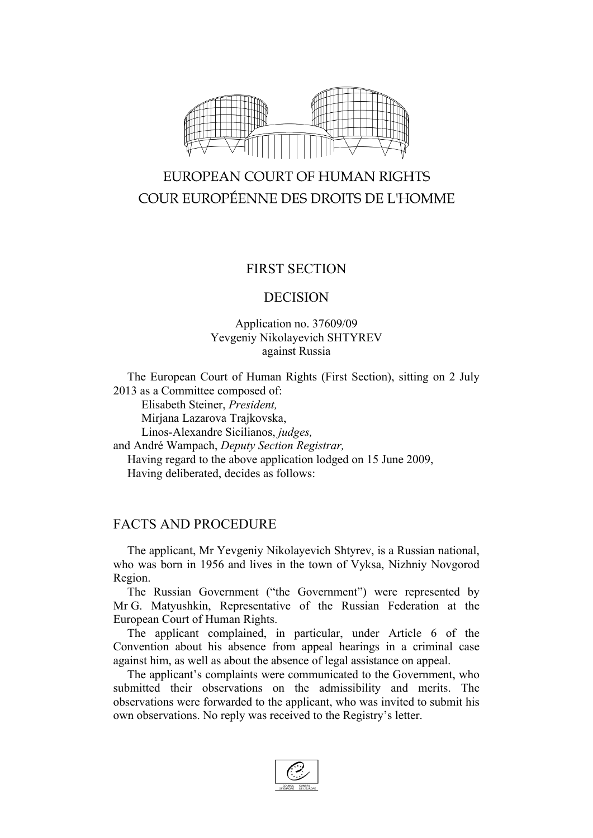

# EUROPEAN COURT OF HUMAN RIGHTS COUR EUROPÉENNE DES DROITS DE L'HOMME

## FIRST SECTION

#### DECISION

### Application no. 37609/09 Yevgeniy Nikolayevich SHTYREV against Russia

The European Court of Human Rights (First Section), sitting on 2 July 2013 as a Committee composed of:

Elisabeth Steiner, *President,*

Mirjana Lazarova Trajkovska,

Linos-Alexandre Sicilianos, *judges,*

and André Wampach, *Deputy Section Registrar,*

Having regard to the above application lodged on 15 June 2009, Having deliberated, decides as follows:

## FACTS AND PROCEDURE

The applicant, Mr Yevgeniy Nikolayevich Shtyrev, is a Russian national, who was born in 1956 and lives in the town of Vyksa, Nizhniy Novgorod Region.

The Russian Government ("the Government") were represented by Mr G. Matyushkin, Representative of the Russian Federation at the European Court of Human Rights.

The applicant complained, in particular, under Article 6 of the Convention about his absence from appeal hearings in a criminal case against him, as well as about the absence of legal assistance on appeal.

The applicant's complaints were communicated to the Government, who submitted their observations on the admissibility and merits. The observations were forwarded to the applicant, who was invited to submit his own observations. No reply was received to the Registry's letter.